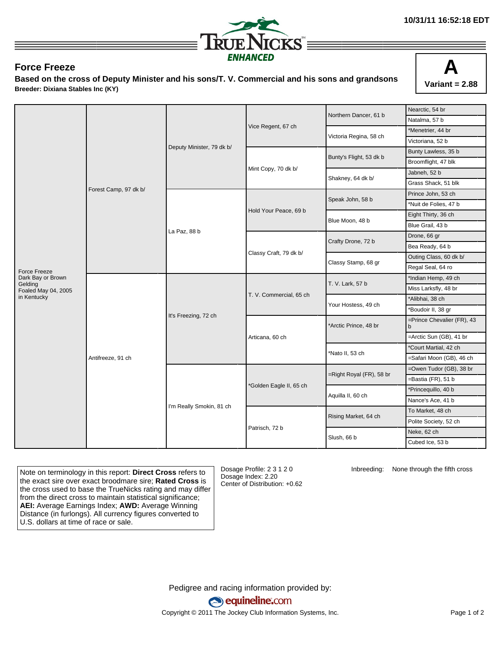

## **Force Freeze**

**Based on the cross of Deputy Minister and his sons/T. V. Commercial and his sons and grandsons Breeder: Dixiana Stables Inc (KY)**



|                                | Forest Camp, 97 dk b/ | Deputy Minister, 79 dk b/ |                         | Northern Dancer, 61 b    | Nearctic, 54 br                            |
|--------------------------------|-----------------------|---------------------------|-------------------------|--------------------------|--------------------------------------------|
|                                |                       |                           |                         |                          | Natalma, 57 b                              |
|                                |                       |                           | Vice Regent, 67 ch      | Victoria Regina, 58 ch   | *Menetrier, 44 br                          |
|                                |                       |                           |                         |                          | Victoriana, 52 b                           |
|                                |                       |                           |                         | Bunty's Flight, 53 dk b  | Bunty Lawless, 35 b                        |
|                                |                       |                           | Mint Copy, 70 dk b/     |                          | Broomflight, 47 blk                        |
|                                |                       |                           |                         | Shakney, 64 dk b/        | Jabneh, 52 b                               |
|                                |                       |                           |                         |                          | Grass Shack, 51 blk                        |
|                                |                       | La Paz, 88 b              | Hold Your Peace, 69 b   | Speak John, 58 b         | Prince John, 53 ch                         |
|                                |                       |                           |                         |                          | *Nuit de Folies, 47 b                      |
|                                |                       |                           |                         | Blue Moon, 48 b          | Eight Thirty, 36 ch                        |
|                                |                       |                           |                         |                          | Blue Grail, 43 b                           |
|                                |                       |                           | Classy Craft, 79 dk b/  | Crafty Drone, 72 b       | Drone, 66 gr                               |
|                                |                       |                           |                         |                          | Bea Ready, 64 b                            |
|                                |                       |                           |                         | Classy Stamp, 68 gr      | Outing Class, 60 dk b/                     |
| Force Freeze                   |                       |                           |                         |                          | Regal Seal, 64 ro                          |
| Dark Bay or Brown              | Antifreeze, 91 ch     | It's Freezing, 72 ch      | T. V. Commercial, 65 ch | T. V. Lark, 57 b         | *Indian Hemp, 49 ch                        |
| Gelding<br>Foaled May 04, 2005 |                       |                           |                         |                          | Miss Larksfly, 48 br                       |
| in Kentucky                    |                       |                           |                         | Your Hostess, 49 ch      | *Alibhai, 38 ch                            |
|                                |                       |                           |                         |                          | *Boudoir II, 38 gr                         |
|                                |                       |                           |                         | *Arctic Prince, 48 br    | =Prince Chevalier (FR), 43<br>$\mathsf{b}$ |
|                                |                       |                           | Articana, 60 ch         |                          | =Arctic Sun (GB), 41 br                    |
|                                |                       |                           |                         | Nato II, 53 ch           | *Court Martial, 42 ch                      |
|                                |                       |                           |                         |                          | =Safari Moon (GB), 46 ch                   |
|                                |                       | I'm Really Smokin, 81 ch  | *Golden Eagle II, 65 ch | =Right Royal (FR), 58 br | =Owen Tudor (GB), 38 br                    |
|                                |                       |                           |                         |                          | =Bastia (FR), 51 b                         |
|                                |                       |                           |                         | Aquilla II, 60 ch        | *Princequillo, 40 b                        |
|                                |                       |                           |                         |                          | Nance's Ace, 41 b                          |
|                                |                       |                           |                         | Rising Market, 64 ch     | To Market, 48 ch                           |
|                                |                       |                           |                         |                          | Polite Society, 52 ch                      |
|                                |                       |                           | Patrisch, 72 b          | Slush, 66 b              | Neke, 62 ch                                |
|                                |                       |                           |                         |                          | Cubed Ice, 53 b                            |

Note on terminology in this report: **Direct Cross** refers to the exact sire over exact broodmare sire; **Rated Cross** is the cross used to base the TrueNicks rating and may differ from the direct cross to maintain statistical significance; **AEI:** Average Earnings Index; **AWD:** Average Winning Distance (in furlongs). All currency figures converted to U.S. dollars at time of race or sale.

Dosage Profile: 2 3 1 2 0 Dosage Index: 2.20 Center of Distribution: +0.62 Inbreeding: None through the fifth cross

Pedigree and racing information provided by: equineline.com Copyright © 2011 The Jockey Club Information Systems, Inc. example 2012 Page 1 of 2